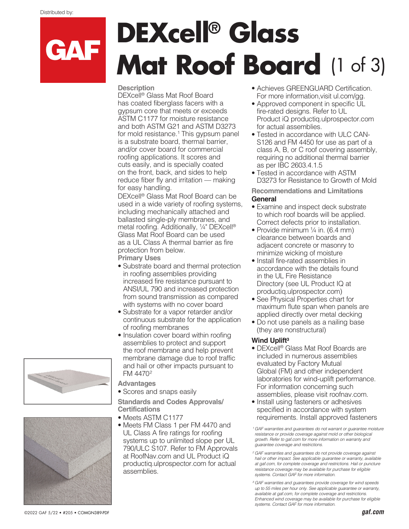GAF

# **DEXcell® Glass Mat Roof Board** (1 of 3)

#### **Description**

DEXcell® Glass Mat Roof Board has coated fiberglass facers with a gypsum core that meets or exceeds ASTM C1177 for moisture resistance and both ASTM G21 and ASTM D3273 for mold resistance.<sup>1</sup> This gypsum panel is a substrate board, thermal barrier, and/or cover board for commercial roofing applications. It scores and cuts easily, and is specially coated on the front, back, and sides to help reduce fiber fly and irritation — making for easy handling.

DEXcell® Glass Mat Roof Board can be used in a wide variety of roofing systems, including mechanically attached and ballasted single-ply membranes, and metal roofing. Additionally, ¼" DEXcell® Glass Mat Roof Board can be used as a UL Class A thermal barrier as fire protection from below.

**Primary Uses**

- Substrate board and thermal protection in roofing assemblies providing increased fire resistance pursuant to ANSI/UL 790 and increased protection from sound transmission as compared with systems with no cover board
- Substrate for a vapor retarder and/or continuous substrate for the application of roofing membranes
- Insulation cover board within roofing assemblies to protect and support the roof membrane and help prevent membrane damage due to roof traffic and hail or other impacts pursuant to FM 4470²

**Advantages**

• Scores and snaps easily

**Standards and Codes Approvals/ Certifications**

- Meets ASTM C1177
- Meets FM Class 1 per FM 4470 and UL Class A fire ratings for roofing systems up to unlimited slope per UL 790/ULC S107. Refer to FM Approvals at RoofNav.com and UL Product iQ productiq.ulprospector.com for actual assemblies.
- Achieves GREENGUARD Certification. For more information,visit ul.com/gg.
- Approved component in specific UL fire-rated designs. Refer to UL Product iQ productiq.ulprospector.com for actual assemblies.
- Tested in accordance with ULC CAN-S126 and FM 4450 for use as part of a class A, B, or C roof covering assembly, requiring no additional thermal barrier as per IBC 2603.4.1.5
- Tested in accordance with ASTM D3273 for Resistance to Growth of Mold

**Recommendations and Limitations General** 

- Examine and inspect deck substrate to which roof boards will be applied. Correct defects prior to installation.
- Provide minimum  $\frac{1}{4}$  in. (6.4 mm) clearance between boards and adjacent concrete or masonry to minimize wicking of moisture
- Install fire-rated assemblies in accordance with the details found in the UL Fire Resistance Directory (see UL Product IQ at productiq.ulprospector.com)
- See Physical Properties chart for maximum flute span when panels are applied directly over metal decking
- Do not use panels as a nailing base (they are nonstructural)

#### **Wind Uplift3**

- DEXcell® Glass Mat Roof Boards are included in numerous assemblies evaluated by Factory Mutual Global (FM) and other independent laboratories for wind-uplift performance. For information concerning such assemblies, please visit roofnav.com.
- Install using fasteners or adhesives specified in accordance with system requirements. Install approved fasteners

*¹ GAF warranties and guarantees do not warrant or guarantee moisture resistance or provide coverage against mold or other biological growth. Refer to gaf.com for more information on warranty and guarantee coverage and restrictions.*

*² GAF warranties and guarantees do not provide coverage against hail or other impact. See applicable guarantee or warranty, available at gaf.com, for complete coverage and restrictions. Hail or puncture resistance coverage may be available for purchase for eligible systems. Contact GAF for more information.*

*3 GAF warranties and guarantees provide coverage for wind speeds up to 55 miles per hour only. See applicable guarantee or warranty, available at gaf.com, for complete coverage and restrictions. Enhanced wind coverage may be available for purchase for eligible systems. Contact GAF for more information.* 



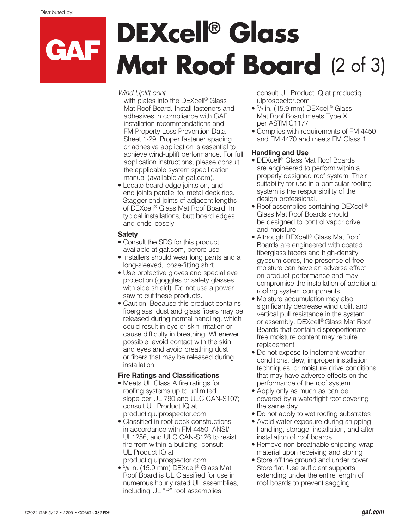## **DEXcell® Glass** CAF **Mat Roof Board** (2 of 3)

*Wind Uplift cont.* 

with plates into the DEXcell<sup>®</sup> Glass Mat Roof Board. Install fasteners and adhesives in compliance with GAF installation recommendations and FM Property Loss Prevention Data Sheet 1-29. Proper fastener spacing or adhesive application is essential to achieve wind-uplift performance. For full application instructions, please consult the applicable system specification manual (available at gaf.com).

• Locate board edge joints on, and end joints parallel to, metal deck ribs. Stagger end joints of adjacent lengths of DEXcell® Glass Mat Roof Board. In typical installations, butt board edges and ends loosely.

#### **Safety**

- Consult the SDS for this product, available at gaf.com, before use
- Installers should wear long pants and a long-sleeved, loose-fitting shirt
- Use protective gloves and special eye protection (goggles or safety glasses with side shield). Do not use a power saw to cut these products.
- Caution: Because this product contains fiberglass, dust and glass fibers may be released during normal handling, which could result in eye or skin irritation or cause difficulty in breathing. Whenever possible, avoid contact with the skin and eyes and avoid breathing dust or fibers that may be released during installation.

### **Fire Ratings and Classifications**

- Meets UL Class A fire ratings for roofing systems up to unlimited slope per UL 790 and ULC CAN-S107; consult UL Product IQ at productiq.ulprospector.com
- Classified in roof deck constructions in accordance with FM 4450, ANSI/ UL1256, and ULC CAN-S126 to resist fire from within a building; consult UL Product IQ at productiq.ulprospector.com
- 5 /8 in. (15.9 mm) DEXcell® Glass Mat Roof Board is UL Classified for use in numerous hourly rated UL assemblies, including UL "P" roof assemblies;

consult UL Product IQ at productiq. ulprospector.com

- 5 /8 in. (15.9 mm) DEXcell® Glass Mat Roof Board meets Type X per ASTM C1177
- Complies with requirements of FM 4450 and FM 4470 and meets FM Class 1

### **Handling and Use**

- DEXcell® Glass Mat Roof Boards are engineered to perform within a properly designed roof system. Their suitability for use in a particular roofing system is the responsibility of the design professional.
- Roof assemblies containing DEXcell® Glass Mat Roof Boards should be designed to control vapor drive and moisture
- Although DEXcell® Glass Mat Roof Boards are engineered with coated fiberglass facers and high-density gypsum cores, the presence of free moisture can have an adverse effect on product performance and may compromise the installation of additional roofing system components
- Moisture accumulation may also significantly decrease wind uplift and vertical pull resistance in the system or assembly. DEXcell® Glass Mat Roof Boards that contain disproportionate free moisture content may require replacement.
- Do not expose to inclement weather conditions, dew, improper installation techniques, or moisture drive conditions that may have adverse effects on the performance of the roof system
- Apply only as much as can be covered by a watertight roof covering the same day
- Do not apply to wet roofing substrates
- Avoid water exposure during shipping, handling, storage, installation, and after installation of roof boards
- Remove non-breathable shipping wrap material upon receiving and storing
- Store off the ground and under cover. Store flat. Use sufficient supports extending under the entire length of roof boards to prevent sagging.